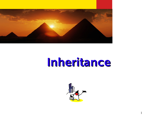

## **Inheritance**



1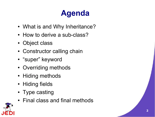## **Agenda**

- What is and Why Inheritance?
- How to derive a sub-class?
- Object class
- Constructor calling chain
- "super" keyword
- Overriding methods
- Hiding methods
- Hiding fields
- Type casting
- Final class and final methods

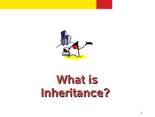

## **What is Inheritance?**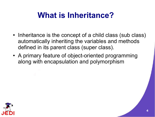### **What is Inheritance?**

- Inheritance is the concept of a child class (sub class) automatically inheriting the variables and methods defined in its parent class (super class).
- A primary feature of object-oriented programming along with encapsulation and polymorphism

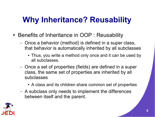### **Why Inheritance? Reusability**

- Benefits of Inheritance in OOP : Reusability
	- Once a behavior (method) is defined in a super class, that behavior is automatically inherited by all subclasses
		- Thus, you write a method only once and it can be used by all subclasses.
	- Once a set of properties (fields) are defined in a super class, the same set of properties are inherited by all subclasses
		- A class and its children share common set of properties
	- A subclass only needs to implement the differences between itself and the parent.

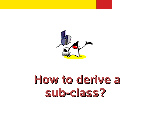

## **How to derive a sub-class?**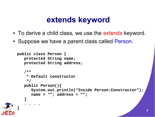#### **extends keyword**

- To derive a child class, we use the extends keyword.
- Suppose we have a parent class called Person.

```
public class Person {
   protected String name;
   protected String address;
   /**
    * Default constructor
    */
   public Person(){
      System.out.println("Inside Person:Constructor");
      name = ""; address = "";
   }
   . . . .
}
```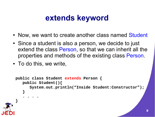#### **extends keyword**

- Now, we want to create another class named Student
- Since a student is also a person, we decide to just extend the class Person, so that we can inherit all the properties and methods of the existing class Person.
- To do this, we write,

```
public class Student extends Person {
   public Student(){
      System.out.println("Inside Student:Constructor");
   }
   . . . .
}
```
**8**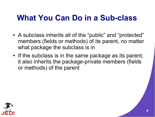#### **What You Can Do in a Sub-class**

- A subclass inherits all of the "public" and "protected" members (fields or methods) of its parent, no matter what package the subclass is in
- If the subclass is in the same package as its parent, it also inherits the package-private members (fields or methods) of the parent

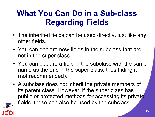#### **What You Can Do in a Sub-class Regarding Fields**

- The inherited fields can be used directly, just like any other fields.
- You can declare new fields in the subclass that are not in the super class
- You can declare a field in the subclass with the same name as the one in the super class, thus hiding it (not recommended).
- A subclass does not inherit the private members of its parent class. However, if the super class has public or protected methods for accessing its private fields, these can also be used by the subclass.

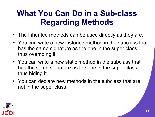#### **What You Can Do in a Sub-class Regarding Methods**

- The inherited methods can be used directly as they are.
- You can write a new instance method in the subclass that has the same signature as the one in the super class, thus overriding it.
- You can write a new static method in the subclass that has the same signature as the one in the super class, thus hiding it.
- You can declare new methods in the subclass that are not in the super class.

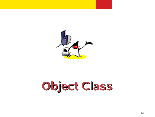

# **Object Class**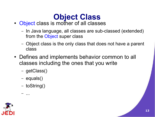## **Object Class**

- Object class is mother of all classes
	- In Java language, all classes are sub-classed (extended) from the Object super class
	- Object class is the only class that does not have a parent class
- Defines and implements behavior common to all classes including the ones that you write
	- getClass()
	- equals()
	- toString()

– ...

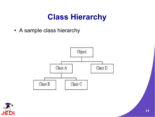#### **Class Hierarchy**

• A sample class hierarchy



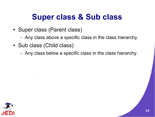#### **Super class & Sub class**

- Super class (Parent class)
	- Any class above a specific class in the class hierarchy.
- Sub class (Child class)
	- Any class below a specific class in the class hierarchy.

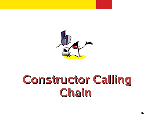

## **Constructor Calling Chain**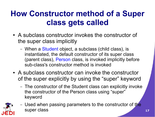#### **How Constructor method of a Super class gets called**

- A subclass constructor invokes the constructor of the super class implicitly
	- When a Student object, a subclass (child class), is instantiated, the default constructor of its super class (parent class), Person class, is invoked implicitly before sub-class's constructor method is invoked
- A subclass constructor can invoke the constructor of the super explicitly by using the "super" keyword
	- The constructor of the Student class can explicitly invoke the constructor of the Person class using "super" keyword



– Used when passing parameters to the constructor of the super class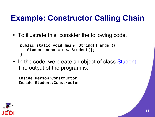#### **Example: Constructor Calling Chain**

• To illustrate this, consider the following code,

```
public static void main( String[] args ){
   Student anna = new Student();
}
```
• In the code, we create an object of class Student. The output of the program is,

**Inside Person:Constructor Inside Student:Constructor**

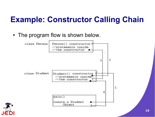#### **Example: Constructor Calling Chain**

• The program flow is shown below.

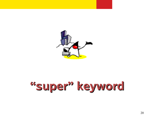

# **"super" keyword**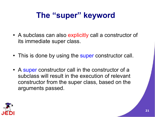- A subclass can also explicitly call a constructor of its immediate super class.
- This is done by using the super constructor call.
- A super constructor call in the constructor of a subclass will result in the execution of relevant constructor from the super class, based on the arguments passed.

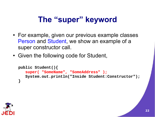- For example, given our previous example classes Person and Student, we show an example of a super constructor call.
- Given the following code for Student,

```
public Student(){
   super( "SomeName"
,
"SomeAddress" );
   System.out.println("Inside Student:Constructor");
}
```
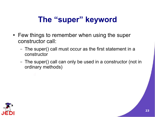- Few things to remember when using the super constructor call:
	- The super() call must occur as the first statement in a constructor
	- The super() call can only be used in a constructor (not in ordinary methods)

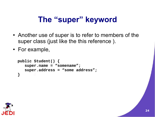- Another use of super is to refer to members of the super class (just like the this reference ).
- For example,

```
public Student() {
   super.name = "somename";
   super.address = "some address";
}
```
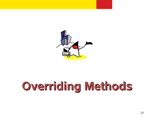

## **Overriding Methods**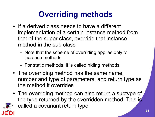## **Overriding methods**

- If a derived class needs to have a different implementation of a certain instance method from that of the super class, override that instance method in the sub class
	- Note that the scheme of overriding applies only to instance methods
	- For static methods, it is called hiding methods
- The overriding method has the same name, number and type of parameters, and return type as the method it overrides
- The overriding method can also return a subtype of the type returned by the overridden method. This is called a covariant return type

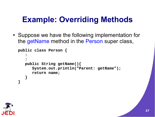#### **Example: Overriding Methods**

• Suppose we have the following implementation for the getName method in the Person super class,

```
public class Person {
   :
   :
   public String getName(){
      System.out.println("Parent: getName");
      return name;
   }
}
```
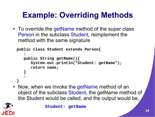## **Example: Overriding Methods**

• To override the getName method of the super class Person in the subclass Student, reimplement the method with the same signature

```
public class Student extends Person{
   :
   public String getName(){
      System.out.println("Student: getName");
      return name;
   }
   :
}
```
• Now, when we invoke the getName method of an object of the subclass Student, the getName method of the Student would be called, and the output would be,



**Student: getName**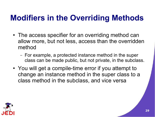#### **Modifiers in the Overriding Methods**

- The access specifier for an overriding method can allow more, but not less, access than the overridden method
	- For example, a protected instance method in the super class can be made public, but not private, in the subclass.
- You will get a compile-time error if you attempt to change an instance method in the super class to a class method in the subclass, and vice versa

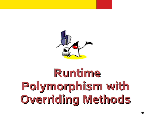

# **Runtime Polymorphism with Overriding Methods**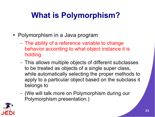## **What is Polymorphism?**

- Polymorphism in a Java program
	- The ability of a reference variable to change behavior according to what object instance it is holding.
	- This allows multiple objects of different subclasses to be treated as objects of a single super class, while automatically selecting the proper methods to apply to a particular object based on the subclass it belongs to
	- (We will talk more on Polymorphism during our Polymorphism presentation.)

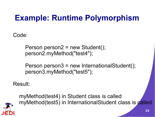#### **Example: Runtime Polymorphism**

Code:

Person person2 = new Student(); person2.myMethod("test4");

Person person3 = new InternationalStudent(); person3.myMethod("test5");

Result:



myMethod(test4) in Student class is called myMethod(test5) in InternationalStudent class is called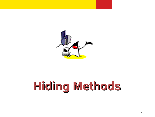

# **Hiding Methods**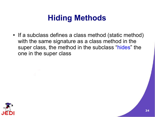#### **Hiding Methods**

• If a subclass defines a class method (static method) with the same signature as a class method in the super class, the method in the subclass "hides" the one in the super class

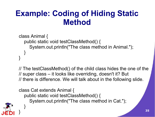#### **Example: Coding of Hiding Static Method**

```
class Animal {
  public static void testClassMethod() {
     System.out.println("The class method in Animal.");
  }
}
```
// The testClassMethod() of the child class hides the one of the // super class – it looks like overriding, doesn't it? But // there is difference. We will talk about in the following slide.

class Cat extends Animal { public static void testClassMethod() { System.out.println("The class method in Cat."); }

}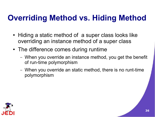#### **Overriding Method vs. Hiding Method**

- Hiding a static method of a super class looks like overriding an instance method of a super class
- The difference comes during runtime
	- When you override an instance method, you get the benefit of run-time polymorphism
	- When you override an static method, there is no runt-time polymorphism

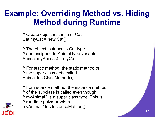#### **Example: Overriding Method vs. Hiding Method during Runtime**

// Create object instance of Cat. Cat myCat = new Cat();

// The object instance is Cat type // and assigned to Animal type variable. Animal myAnimal2 = myCat;

// For static method, the static method of // the super class gets called. Animal.testClassMethod();

// For instance method, the instance method // of the subclass is called even though // myAnimal2 is a super class type. This is // run-time polymorphism. myAnimal2.testInstanceMethod();

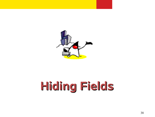

# **Hiding Fields**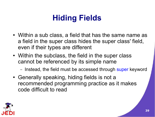### **Hiding Fields**

- Within a sub class, a field that has the same name as a field in the super class hides the super class' field, even if their types are different
- Within the subclass, the field in the super class cannot be referenced by its simple name

– Instead, the field must be accessed through super keyword

• Generally speaking, hiding fields is not a recommended programming practice as it makes code difficult to read

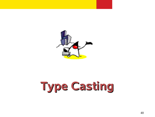

# **Type Casting**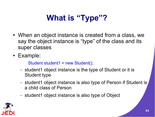## **What is "Type"?**

- When an object instance is created from a class, we say the object instance is "type" of the class and its super classes
- Example:

Student student1 = new Student();

- student1 object instance is the type of Student or it is Student type
- student1 object instance is also type of Person if Student is a child class of Person
- student1 object instance is also type of Object

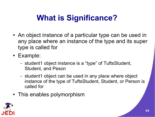## **What is Significance?**

- An object instance of a particular type can be used in any place where an instance of the type and its super type is called for
- Example:
	- student1 object instance is a "type" of TuftsStudent, Student, and Peson
	- student1 object can be used in any place where object instance of the type of TuftsStudent, Student, or Person is called for
- This enables polymorphism

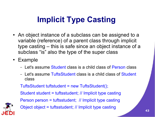### **Implicit Type Casting**

- An object instance of a subclass can be assigned to a variable (reference) of a parent class through implicit type casting – this is safe since an object instance of a subclass "is" also the type of the super class
- Example
	- Let's assume Student class is a child class of Person class
	- Let's assume TuftsStudent class is a child class of Student class

TuftsStudent tuftstudent = new TuftsStudent();

Student student = tuftsstudent; // Implicit type casting





Object object = tuftsstudent; // Implicit type casting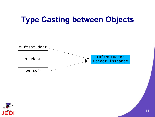#### **Type Casting between Objects**



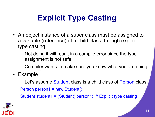## **Explicit Type Casting**

- An object instance of a super class must be assigned to a variable (reference) of a child class through explicit type casting
	- Not doing it will result in a compile error since the type assignment is not safe
	- Compiler wants to make sure you know what you are doing
- Example
	- Let's assume Student class is a child class of Person class

Person person1 = new Student();

Student student1 = (Student) person1; // Explicit type casting

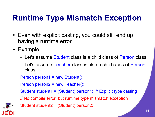### **Runtime Type Mismatch Exception**

- Even with explicit casting, you could still end up having a runtime error
- Example
	- Let's assume Student class is a child class of Person class
	- Let's assume Teacher class is also a child class of Person class

Person person1 = new Student();

Person person2 = new Teacher();

Student student1 = (Student) person1; // Explicit type casting

// No compile error, but runtime type mismatch exception



Student student2 = (Student) person2;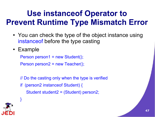#### **Use instanceof Operator to Prevent Runtime Type Mismatch Error**

- You can check the type of the object instance using instanceof before the type casting
- Example

Person person1 = new Student();

Person person2 = new Teacher();

- // Do the casting only when the type is verified
- if (person2 instanceof Student) { Student student2 = (Student) person2;



}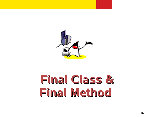

## **Final Class & Final Method**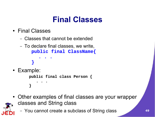#### **Final Classes**

- Final Classes
	- Classes that cannot be extended
	- To declare final classes, we write, **public final ClassName{**
		- **. . . }**
- Example:

**public final class Person { . . . }**

- Other examples of final classes are your wrapper classes and String class
	- You cannot create a subclass of String class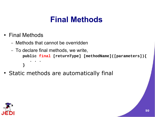#### **Final Methods**

- Final Methods
	- Methods that cannot be overridden
	- To declare final methods, we write, **public final [returnType] [methodName]([parameters]){ . . . }**
- Static methods are automatically final

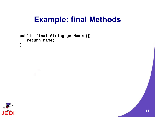#### **Example: final Methods**

```
public final String getName(){
   return name;
}
```